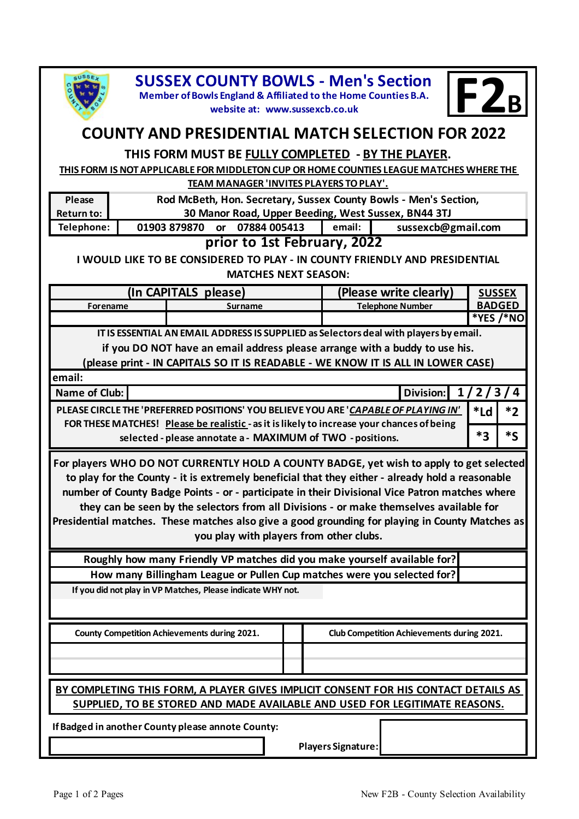

**email:**

**SUSSEX COUNTY BOWLS - Men's Section<br>
Member of Bowls England & Affiliated to the Home Counties B.A.**<br> **F2B** 

**website at: www.sussexcb.co.uk**



## **COUNTY AND PRESIDENTIAL MATCH SELECTION FOR 2022**

## **THIS FORM MUST BE FULLY COMPLETED - BY THE PLAYER.**

**THIS FORM IS NOT APPLICABLE FOR MIDDLETON CUP OR HOME COUNTIES LEAGUE MATCHES WHERE THE TEAM MANAGER 'INVITES PLAYERS TO PLAY'.**

| Please                      | Rod McBeth, Hon. Secretary, Sussex County Bowls - Men's Section, |          |                    |  |  |  |
|-----------------------------|------------------------------------------------------------------|----------|--------------------|--|--|--|
| Return to:                  | 30 Manor Road, Upper Beeding, West Sussex, BN44 3TJ              |          |                    |  |  |  |
| Telephone:                  | 01903 879870<br>or 07884 005413                                  | email: I | sussexcb@gmail.com |  |  |  |
| prior to 1st February, 2022 |                                                                  |          |                    |  |  |  |

**I WOULD LIKE TO BE CONSIDERED TO PLAY - IN COUNTY FRIENDLY AND PRESIDENTIAL MATCHES NEXT SEASON:**

|          | (In CAPITALS please) | (Please write clearly) | <b>SUSSEX</b> |  |
|----------|----------------------|------------------------|---------------|--|
| Forename | Surname              | Telephone Number       | <b>BADGED</b> |  |
|          |                      |                        | *YES /*NO     |  |

 **IT IS ESSENTIAL AN EMAIL ADDRESS IS SUPPLIED as Selectors deal with players by email.**

**if you DO NOT have an email address please arrange with a buddy to use his.**

**(please print - IN CAPITALS SO IT IS READABLE - WE KNOW IT IS ALL IN LOWER CASE)**

| <u>.</u>                                                                                                                                                                          |                     |    |                                       |
|-----------------------------------------------------------------------------------------------------------------------------------------------------------------------------------|---------------------|----|---------------------------------------|
| Name of Club:                                                                                                                                                                     | Division: $1/2/3/4$ |    |                                       |
| PLEASE CIRCLE THE 'PREFERRED POSITIONS' YOU BELIEVE YOU ARE 'CAPABLE OF PLAYING IN'<br>FOR THESE MATCHES! Please be realistic - as it is likely to increase your chances of being |                     |    | $\mathsf{I}^*$ Ld $\mathsf{I}$<br>$*$ |
| selected - please annotate a - MAXIMUM of TWO - positions.                                                                                                                        |                     | *っ |                                       |

**For players WHO DO NOT CURRENTLY HOLD A COUNTY BADGE, yet wish to apply to get selected to play for the County - it is extremely beneficial that they either - already hold a reasonable number of County Badge Points - or - participate in their Divisional Vice Patron matches where they can be seen by the selectors from all Divisions - or make themselves available for Presidential matches. These matches also give a good grounding for playing in County Matches as** 

**you play with players from other clubs.**

**Roughly how many Friendly VP matches did you make yourself available for? How many Billingham League or Pullen Cup matches were you selected for?**

**If you did not play in VP Matches, Please indicate WHY not.**

 **County Competition Achievements during 2021. Club Competition Achievements during 2021.**

**BY COMPLETING THIS FORM, A PLAYER GIVES IMPLICIT CONSENT FOR HIS CONTACT DETAILS AS SUPPLIED, TO BE STORED AND MADE AVAILABLE AND USED FOR LEGITIMATE REASONS.**

**If Badged in another County please annote County:**

**Players Signature:**